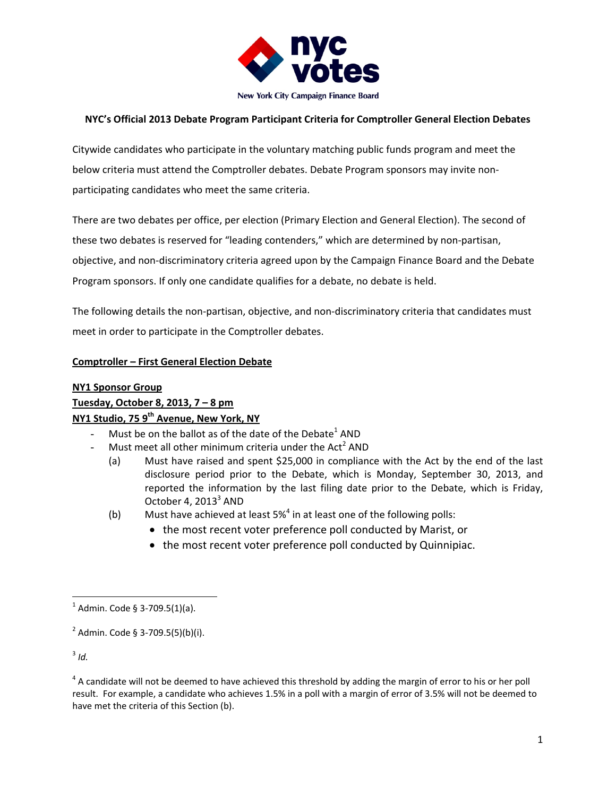

# **NYC's Official 2013 Debate Program Participant Criteria for Comptroller General Election Debates**

Citywide candidates who participate in the voluntary matching public funds program and meet the below criteria must attend the Comptroller debates. Debate Program sponsors may invite non‐ participating candidates who meet the same criteria.

There are two debates per office, per election (Primary Election and General Election). The second of these two debates is reserved for "leading contenders," which are determined by non‐partisan, objective, and non‐discriminatory criteria agreed upon by the Campaign Finance Board and the Debate Program sponsors. If only one candidate qualifies for a debate, no debate is held.

The following details the non‐partisan, objective, and non‐discriminatory criteria that candidates must meet in order to participate in the Comptroller debates.

## **Comptroller – First General Election Debate**

## **NY1 Sponsor Group**

**Tuesday, October 8, 2013, 7 – 8 pm**

## **NY1 Studio, 75 9th Avenue, New York, NY**

- Must be on the ballot as of the date of the Debate<sup>1</sup> AND
- Must meet all other minimum criteria under the Act<sup>2</sup> AND
	- (a) Must have raised and spent \$25,000 in compliance with the Act by the end of the last disclosure period prior to the Debate, which is Monday, September 30, 2013, and reported the information by the last filing date prior to the Debate, which is Friday, October 4,  $2013<sup>3</sup>$  AND
	- (b) Must have achieved at least  $5\%$ <sup>4</sup> in at least one of the following polls:
		- the most recent voter preference poll conducted by Marist, or
		- the most recent voter preference poll conducted by Quinnipiac.

 $3$  *Id.* 

  $^{1}$  Admin. Code § 3-709.5(1)(a).

 $2^{2}$  Admin. Code § 3-709.5(5)(b)(i).

 $4$  A candidate will not be deemed to have achieved this threshold by adding the margin of error to his or her poll result. For example, a candidate who achieves 1.5% in a poll with a margin of error of 3.5% will not be deemed to have met the criteria of this Section (b).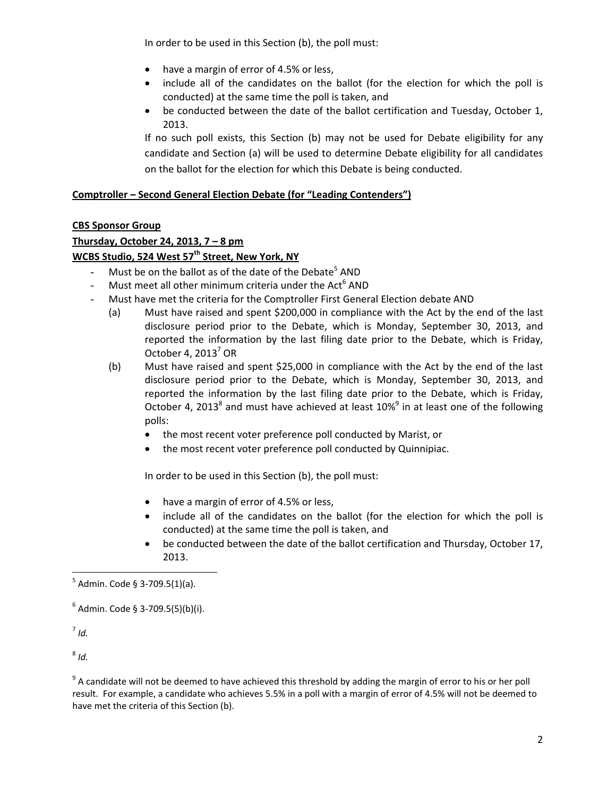In order to be used in this Section (b), the poll must:

- have a margin of error of 4.5% or less,
- include all of the candidates on the ballot (for the election for which the poll is conducted) at the same time the poll is taken, and
- be conducted between the date of the ballot certification and Tuesday, October 1, 2013.

If no such poll exists, this Section (b) may not be used for Debate eligibility for any candidate and Section (a) will be used to determine Debate eligibility for all candidates on the ballot for the election for which this Debate is being conducted.

# **Comptroller – Second General Election Debate (for "Leading Contenders")**

## **CBS Sponsor Group**

# **Thursday, October 24, 2013, 7 – 8 pm**

## **WCBS Studio, 524 West 57th Street, New York, NY**

- Must be on the ballot as of the date of the Debate<sup>5</sup> AND
- Must meet all other minimum criteria under the Act<sup>6</sup> AND
- Must have met the criteria for the Comptroller First General Election debate AND
	- (a) Must have raised and spent \$200,000 in compliance with the Act by the end of the last disclosure period prior to the Debate, which is Monday, September 30, 2013, and reported the information by the last filing date prior to the Debate, which is Friday, October 4,  $2013<sup>7</sup>$  OR
	- (b) Must have raised and spent \$25,000 in compliance with the Act by the end of the last disclosure period prior to the Debate, which is Monday, September 30, 2013, and reported the information by the last filing date prior to the Debate, which is Friday, October 4, 2013<sup>8</sup> and must have achieved at least 10%<sup>9</sup> in at least one of the following polls:
		- the most recent voter preference poll conducted by Marist, or
		- the most recent voter preference poll conducted by Quinnipiac.

In order to be used in this Section (b), the poll must:

- have a margin of error of 4.5% or less,
- include all of the candidates on the ballot (for the election for which the poll is conducted) at the same time the poll is taken, and
- be conducted between the date of the ballot certification and Thursday, October 17, 2013.

<sup>7</sup> *Id.*

 $8$  *Id.* 

<sup>9</sup> A candidate will not be deemed to have achieved this threshold by adding the margin of error to his or her poll result. For example, a candidate who achieves 5.5% in a poll with a margin of error of 4.5% will not be deemed to have met the criteria of this Section (b).

 $^5$  Admin. Code § 3-709.5(1)(a).

 $6$  Admin. Code § 3-709.5(5)(b)(i).